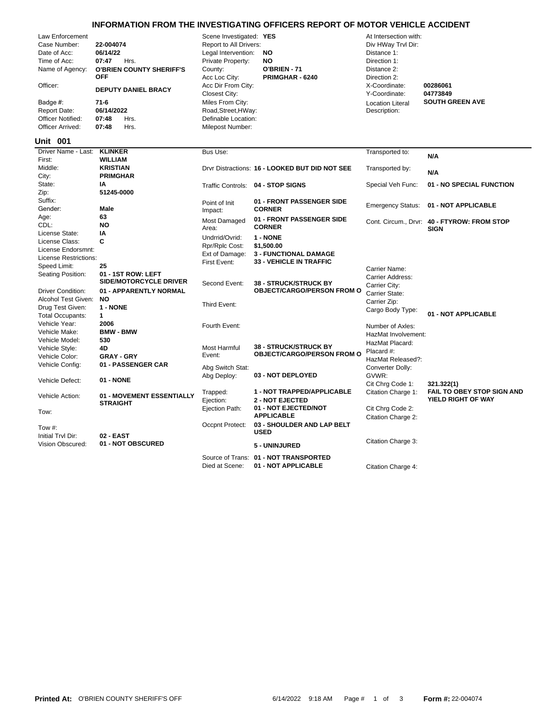## **INFORMATION FROM THE INVESTIGATING OFFICERS REPORT OF MOTOR VEHICLE ACCIDENT**

|                                                                                                                                                                                   |                                                                                                                                                                                 |                                                                                                                                                                                                                                                               | <u>INFORMATION FROM THE INVESTIGATING OFFICERS REPORT OF MOTOR VEHICLE ACCIDENT</u>      |                                                                                                                                                                                        |                                                            |
|-----------------------------------------------------------------------------------------------------------------------------------------------------------------------------------|---------------------------------------------------------------------------------------------------------------------------------------------------------------------------------|---------------------------------------------------------------------------------------------------------------------------------------------------------------------------------------------------------------------------------------------------------------|------------------------------------------------------------------------------------------|----------------------------------------------------------------------------------------------------------------------------------------------------------------------------------------|------------------------------------------------------------|
| Law Enforcement<br>Case Number:<br>Date of Acc:<br>Time of Acc:<br>Name of Agency:<br>Officer:<br>Badge #:<br><b>Report Date:</b><br><b>Officer Notified:</b><br>Officer Arrived: | 22-004074<br>06/14/22<br>07:47<br>Hrs.<br><b>O'BRIEN COUNTY SHERIFF'S</b><br><b>OFF</b><br><b>DEPUTY DANIEL BRACY</b><br>$71-6$<br>06/14/2022<br>07:48<br>Hrs.<br>07:48<br>Hrs. | Scene Investigated: YES<br>Report to All Drivers:<br>Legal Intervention:<br>Private Property:<br>County:<br>Acc Loc City:<br>Acc Dir From City:<br><b>Closest City:</b><br>Miles From City:<br>Road, Street, HWay:<br>Definable Location:<br>Milepost Number: | <b>NO</b><br><b>NO</b><br>O'BRIEN - 71<br>PRIMGHAR - 6240                                | At Intersection with:<br>Div HWay Trvl Dir:<br>Distance 1:<br>Direction 1:<br>Distance 2:<br>Direction 2:<br>X-Coordinate:<br>Y-Coordinate:<br><b>Location Literal</b><br>Description: | 00286061<br>04773849<br><b>SOUTH GREEN AVE</b>             |
| <b>Unit 001</b>                                                                                                                                                                   |                                                                                                                                                                                 |                                                                                                                                                                                                                                                               |                                                                                          |                                                                                                                                                                                        |                                                            |
| Driver Name - Last:                                                                                                                                                               | <b>KLINKER</b>                                                                                                                                                                  | Bus Use:                                                                                                                                                                                                                                                      |                                                                                          | Transported to:                                                                                                                                                                        | N/A                                                        |
| First:<br>Middle:<br>City:                                                                                                                                                        | <b>WILLIAM</b><br><b>KRISTIAN</b><br><b>PRIMGHAR</b>                                                                                                                            |                                                                                                                                                                                                                                                               | Drvr Distractions: 16 - LOOKED BUT DID NOT SEE                                           | Transported by:                                                                                                                                                                        | N/A                                                        |
| State:<br>Zip:                                                                                                                                                                    | IA<br>51245-0000                                                                                                                                                                | Traffic Controls: 04 - STOP SIGNS                                                                                                                                                                                                                             |                                                                                          | Special Veh Func:                                                                                                                                                                      | 01 - NO SPECIAL FUNCTION                                   |
| Suffix:<br>Gender:                                                                                                                                                                | <b>Male</b>                                                                                                                                                                     | Point of Init<br>Impact:                                                                                                                                                                                                                                      | 01 - FRONT PASSENGER SIDE<br><b>CORNER</b>                                               |                                                                                                                                                                                        | Emergency Status: 01 - NOT APPLICABLE                      |
| Age:<br>CDL:                                                                                                                                                                      | 63<br><b>NO</b>                                                                                                                                                                 | Most Damaged<br>Area:                                                                                                                                                                                                                                         | 01 - FRONT PASSENGER SIDE<br><b>CORNER</b>                                               |                                                                                                                                                                                        | Cont. Circum., Drvr: 40 - FTYROW: FROM STOP<br><b>SIGN</b> |
| License State:<br>License Class:<br>License Endorsmnt:<br>License Restrictions:<br>Speed Limit:<br>Seating Position:                                                              | ΙA<br>C<br>25<br>01 - 1ST ROW: LEFT                                                                                                                                             | Undrrid/Ovrid:<br>Rpr/Rplc Cost:<br>Ext of Damage:<br>First Event:                                                                                                                                                                                            | 1 - NONE<br>\$1,500.00<br><b>3 - FUNCTIONAL DAMAGE</b><br><b>33 - VEHICLE IN TRAFFIC</b> | Carrier Name:<br>Carrier Address:                                                                                                                                                      |                                                            |
| <b>Driver Condition:</b><br>Alcohol Test Given:                                                                                                                                   | <b>SIDE/MOTORCYCLE DRIVER</b><br>01 - APPARENTLY NORMAL<br><b>NO</b>                                                                                                            | Second Event:                                                                                                                                                                                                                                                 | <b>38 - STRUCK/STRUCK BY</b><br><b>OBJECT/CARGO/PERSON FROM O</b>                        | Carrier City:<br>Carrier State:                                                                                                                                                        |                                                            |
| Drug Test Given:<br><b>Total Occupants:</b>                                                                                                                                       | 1 - NONE<br>$\mathbf{1}$                                                                                                                                                        | Third Event:                                                                                                                                                                                                                                                  |                                                                                          | Carrier Zip:<br>Cargo Body Type:                                                                                                                                                       | 01 - NOT APPLICABLE                                        |
| Vehicle Year:<br>Vehicle Make:<br>Vehicle Model:                                                                                                                                  | 2006<br><b>BMW - BMW</b><br>530                                                                                                                                                 | Fourth Event:                                                                                                                                                                                                                                                 |                                                                                          | Number of Axles:<br>HazMat Involvement:                                                                                                                                                |                                                            |
| Vehicle Style:<br>Vehicle Color:                                                                                                                                                  | 4D<br><b>GRAY - GRY</b>                                                                                                                                                         | <b>Most Harmful</b><br>Event:                                                                                                                                                                                                                                 | <b>38 - STRUCK/STRUCK BY</b><br><b>OBJECT/CARGO/PERSON FROM O</b>                        | HazMat Placard:<br>Placard #:<br>HazMat Released?:                                                                                                                                     |                                                            |
| Vehicle Config:<br>Vehicle Defect:                                                                                                                                                | 01 - PASSENGER CAR<br><b>01 - NONE</b>                                                                                                                                          | Abg Switch Stat:<br>Abg Deploy:                                                                                                                                                                                                                               | 03 - NOT DEPLOYED                                                                        | Converter Dolly:<br>GVWR:<br>Cit Chrq Code 1:                                                                                                                                          | 321.322(1)                                                 |
| Vehicle Action:                                                                                                                                                                   | 01 - MOVEMENT ESSENTIALLY<br><b>STPAICHT</b>                                                                                                                                    | Trapped:<br>Ejection:                                                                                                                                                                                                                                         | 1 - NOT TRAPPED/APPLICABLE<br><b>2 - NOT EJECTED</b>                                     | Citation Charge 1:                                                                                                                                                                     | FAIL TO OBEY STOP SIGN A<br>YIELD RIGHT OF WAY             |

Source of Trans: **01 - NOT TRANSPORTED**

**USED**

**APPLICABLE**

Vision Obscured: **01 - NOT OBSCURED** Citation Charge 3: **5 - UNINJURED**

Tow #: Occpnt Protect: **03 - SHOULDER AND LAP BELT**

Citation Charge 1: **FAIL TO OBEY STOP SIGN AND YIELD RIGHT OF WAY**

Citation Charge 2: **Tow:** SIRAIGHT EJECTED/NOT EXAMPLE 2:<br>Tow: **ADDLE AND CABLE** 

Died at Scene: **01 - NOT APPLICABLE** Citation Charge 4:

**Initial Trvl Dir:** 

**STRAIGHT**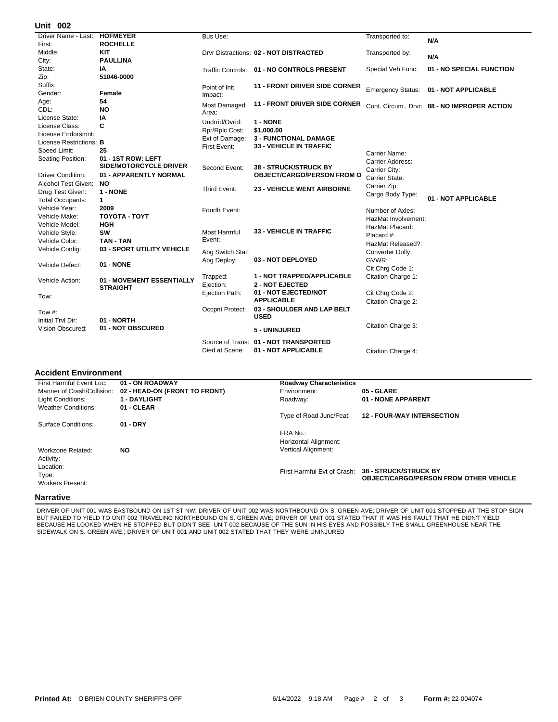## **002 Unit**

| אט וווע                        |                                              |                  |                                            |                          |                                              |
|--------------------------------|----------------------------------------------|------------------|--------------------------------------------|--------------------------|----------------------------------------------|
| Driver Name - Last:            | <b>HOFMEYER</b>                              | <b>Bus Use:</b>  |                                            | Transported to:          | N/A                                          |
| First:                         | <b>ROCHELLE</b>                              |                  |                                            |                          |                                              |
| Middle:                        | <b>KIT</b>                                   |                  | Drvr Distractions: 02 - NOT DISTRACTED     | Transported by:          | N/A                                          |
| City:                          | <b>PAULLINA</b>                              |                  |                                            |                          |                                              |
| State:                         | ΙA                                           |                  | Traffic Controls: 01 - NO CONTROLS PRESENT | Special Veh Func:        | 01 - NO SPECIAL FUNCTION                     |
| Zip:                           | 51046-0000                                   |                  |                                            |                          |                                              |
| Suffix:                        |                                              | Point of Init    | <b>11 - FRONT DRIVER SIDE CORNER</b>       | <b>Emergency Status:</b> | 01 - NOT APPLICABLE                          |
| Gender:                        | Female                                       | Impact:          |                                            |                          |                                              |
| Age:                           | 54                                           | Most Damaged     | <b>11 - FRONT DRIVER SIDE CORNER</b>       |                          | Cont. Circum., Drvr: 88 - NO IMPROPER ACTION |
| CDL:                           | <b>NO</b>                                    | Area:            |                                            |                          |                                              |
| License State:                 | IA                                           | Undrrid/Ovrid:   | 1 - NONE                                   |                          |                                              |
| License Class:                 | C                                            | Rpr/Rplc Cost:   | \$1,000.00                                 |                          |                                              |
| License Endorsmnt:             |                                              | Ext of Damage:   | <b>3 - FUNCTIONAL DAMAGE</b>               |                          |                                              |
| License Restrictions: <b>B</b> |                                              | First Event:     | <b>33 - VEHICLE IN TRAFFIC</b>             |                          |                                              |
| Speed Limit:                   | 25                                           |                  |                                            | Carrier Name:            |                                              |
| Seating Position:              | 01 - 1ST ROW: LEFT                           |                  |                                            | Carrier Address:         |                                              |
|                                | <b>SIDE/MOTORCYCLE DRIVER</b>                | Second Event:    | <b>38 - STRUCK/STRUCK BY</b>               | Carrier City:            |                                              |
| <b>Driver Condition:</b>       | 01 - APPARENTLY NORMAL                       |                  | <b>OBJECT/CARGO/PERSON FROM O</b>          | Carrier State:           |                                              |
| Alcohol Test Given:            | NO.                                          | Third Event:     | <b>23 - VEHICLE WENT AIRBORNE</b>          | Carrier Zip:             |                                              |
| Drug Test Given:               | 1 - NONE                                     |                  |                                            | Cargo Body Type:         |                                              |
| <b>Total Occupants:</b>        | $\mathbf{1}$                                 |                  |                                            |                          | 01 - NOT APPLICABLE                          |
| Vehicle Year:                  | 2009                                         | Fourth Event:    |                                            | Number of Axles:         |                                              |
| Vehicle Make:                  | <b>TOYOTA - TOYT</b>                         |                  |                                            | HazMat Involvement:      |                                              |
| Vehicle Model:                 | <b>HGH</b>                                   |                  |                                            | HazMat Placard:          |                                              |
| Vehicle Style:                 | SW                                           | Most Harmful     | <b>33 - VEHICLE IN TRAFFIC</b>             | Placard #:               |                                              |
| Vehicle Color:                 | <b>TAN - TAN</b>                             | Event:           |                                            | HazMat Released?:        |                                              |
| Vehicle Config:                | 03 - SPORT UTILITY VEHICLE                   | Abg Switch Stat: |                                            | Converter Dolly:         |                                              |
|                                |                                              | Abg Deploy:      | 03 - NOT DEPLOYED                          | GVWR:                    |                                              |
| Vehicle Defect:                | 01 - NONE                                    |                  |                                            | Cit Chrg Code 1:         |                                              |
|                                |                                              | Trapped:         | <b>1 - NOT TRAPPED/APPLICABLE</b>          | Citation Charge 1:       |                                              |
| Vehicle Action:                | 01 - MOVEMENT ESSENTIALLY<br><b>STRAIGHT</b> | Ejection:        | <b>2 - NOT EJECTED</b>                     |                          |                                              |
|                                |                                              | Ejection Path:   | 01 - NOT EJECTED/NOT                       | Cit Chrg Code 2:         |                                              |
| Tow:                           |                                              |                  | <b>APPLICABLE</b>                          | Citation Charge 2:       |                                              |
| Tow #:                         |                                              | Occpnt Protect:  | 03 - SHOULDER AND LAP BELT                 |                          |                                              |
| Initial Trvl Dir:              | 01 - NORTH                                   |                  | <b>USED</b>                                |                          |                                              |
| Vision Obscured:               | 01 - NOT OBSCURED                            |                  |                                            | Citation Charge 3:       |                                              |
|                                |                                              |                  | 5 - UNINJURED                              |                          |                                              |
|                                |                                              |                  | Source of Trans: 01 - NOT TRANSPORTED      |                          |                                              |
|                                |                                              | Died at Scene:   | 01 - NOT APPLICABLE                        | Citation Charge 4:       |                                              |

## **Accident Environment**

| First Harmful Event Loc:   | 01 - ON ROADWAY               | <b>Roadway Characteristics</b> |                                                                                                    |
|----------------------------|-------------------------------|--------------------------------|----------------------------------------------------------------------------------------------------|
| Manner of Crash/Collision: | 02 - HEAD-ON (FRONT TO FRONT) | Environment:                   | 05 - GLARE                                                                                         |
| Light Conditions:          | <b>1 - DAYLIGHT</b>           | Roadway:                       | 01 - NONE APPARENT                                                                                 |
| <b>Weather Conditions:</b> | 01 - CLEAR                    |                                |                                                                                                    |
|                            |                               | Type of Road Junc/Feat:        | <b>12 - FOUR-WAY INTERSECTION</b>                                                                  |
| Surface Conditions:        | $01 - DRY$                    |                                |                                                                                                    |
|                            |                               | FRA No.:                       |                                                                                                    |
|                            |                               | Horizontal Alignment:          |                                                                                                    |
| Workzone Related:          | <b>NO</b>                     | <b>Vertical Alignment:</b>     |                                                                                                    |
| Activity:                  |                               |                                |                                                                                                    |
| Location:                  |                               |                                |                                                                                                    |
| Type:                      |                               |                                | First Harmful Evt of Crash: 38 - STRUCK/STRUCK BY<br><b>OBJECT/CARGO/PERSON FROM OTHER VEHICLE</b> |
| <b>Workers Present:</b>    |                               |                                |                                                                                                    |
| .                          |                               |                                |                                                                                                    |

## **Narrative**

DRIVER OF UNIT 001 WAS EASTBOUND ON 1ST ST NW; DRIVER OF UNIT 002 WAS NORTHBOUND ON S. GREEN AVE; DRIVER OF UNIT 001 STOPPED AT THE STOP SIGN BUT FAILED TO YIELD TO UNIT 002 TRAVELING NORTHBOUND ON S. GREEN AVE; DRIVER OF UNIT 001 STATED THAT IT WAS HIS FAULT THAT HE DIDN'T YIELD BECAUSE HE LOOKED WHEN HE STOPPED BUT DIDN'T SEE UNIT 002 BECAUSE OF THE SUN IN HIS EYES AND POSSIBLY THE SMALL GREENHOUSE NEAR THE SIDEWALK ON S. GREEN AVE.; DRIVER OF UNIT 001 AND UNIT 002 STATED THAT THEY WERE UNINJURED